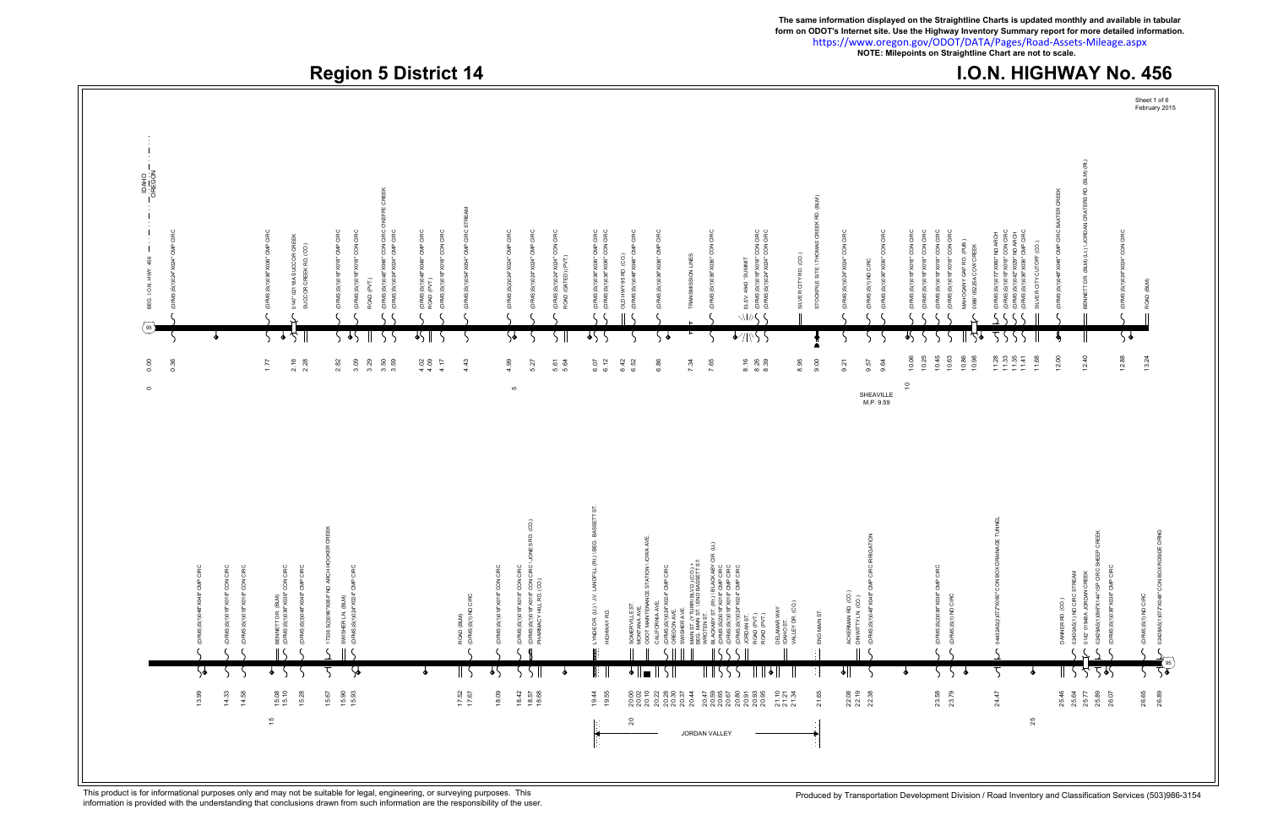## **Region 5 District 14 I.O.N. HIGHWAY No. 456**

**The same information displayed on the Straightline Charts is updated monthly and available in tabular** <https://www.oregon.gov/ODOT/DATA/Pages/Road-Assets-Mileage.aspx> **form on ODOT's Internet site. Use the Highway Inventory Summary report for more detailed information. NOTE: Milepoints on Straightline Chart are not to scale.**



This product is for informational purposes only and may not be suitable for legal, engineering, or surveying purposes. This responsibility of the user. This responsibility of the user.<br>information is provided with the unde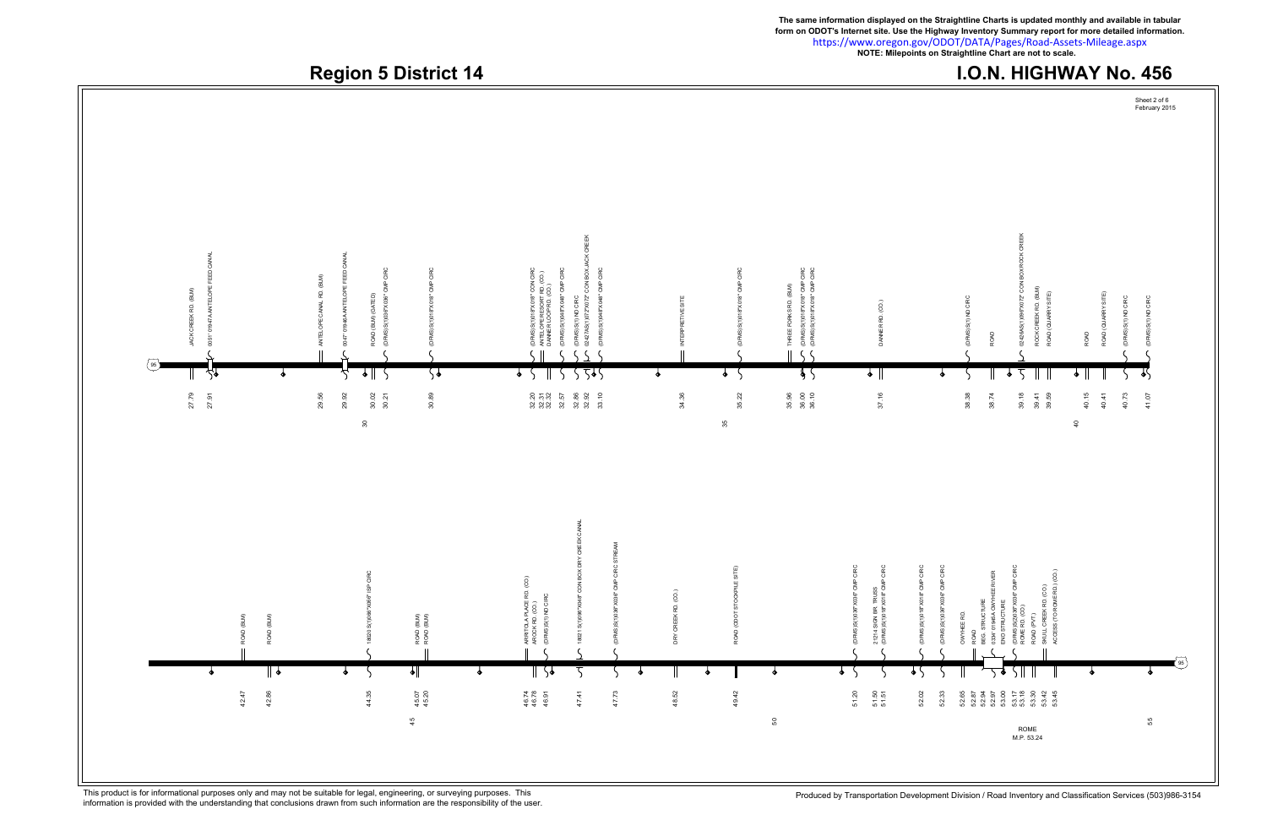Region 5 District 14 **I.O.N. HIGHWAY No. 456 The same information displayed on the Straightline Charts is updated monthly and available in tabular** https://www.oregon.gov/ODOT/DATA/Pages/Road-Assets-Mileage.aspx **form on ODOT's Internet site. Use the Highway Inventory Summary report for more detailed information. NOTE: Milepoints on Straightline Chart are not to scale.** Sheet 2 of 6 February 2015



This product is for informational purposes only and may not be suitable for legal, engineering, or surveying purposes. This responsibility of the user. This responsibility of the user.<br>information is provided with the unde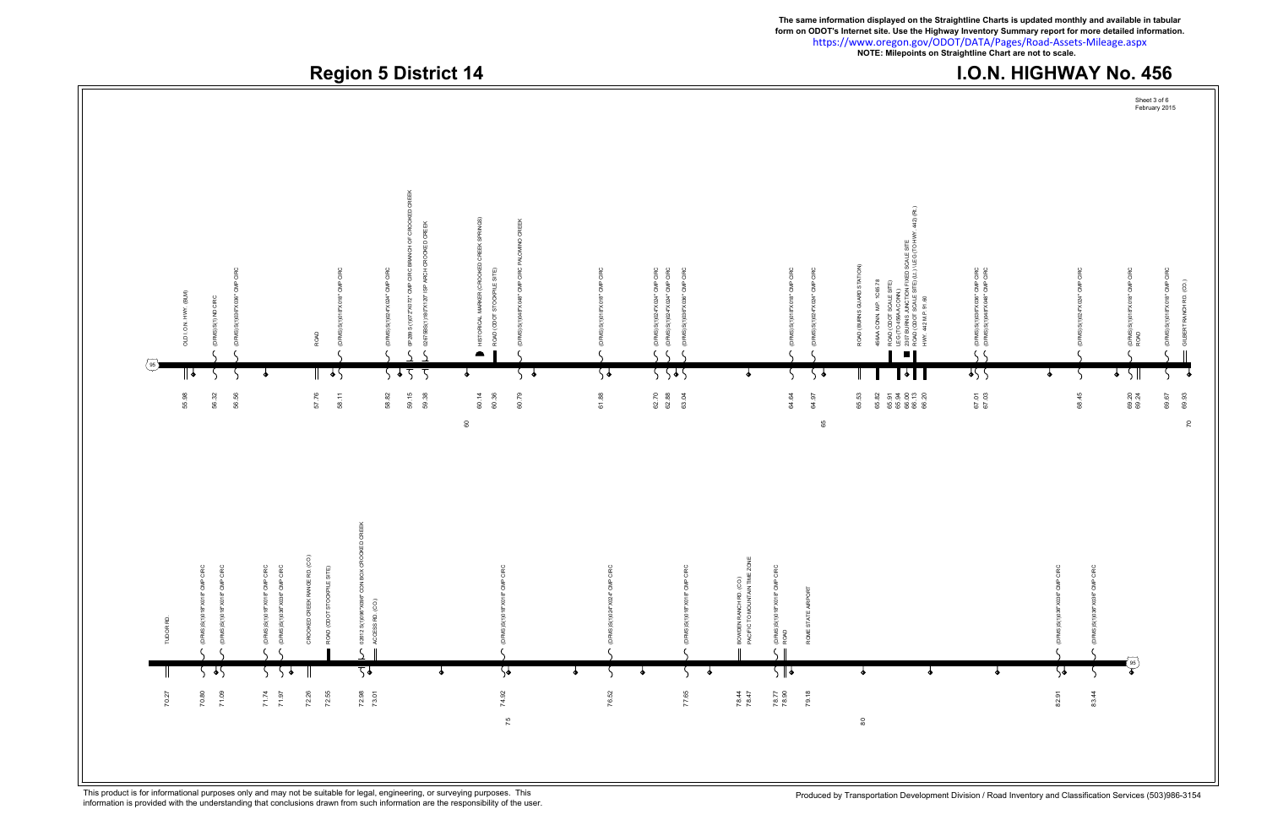

This product is for informational purposes only and may not be suitable for legal, engineering, or surveying purposes. This responsibility of the user. This responsibility of the user.<br>information is provided with the unde

**The same information displayed on the Straightline Charts is updated monthly and available in tabular form on ODOT's Internet site. Use the Highway Inventory Summary report for more detailed information.**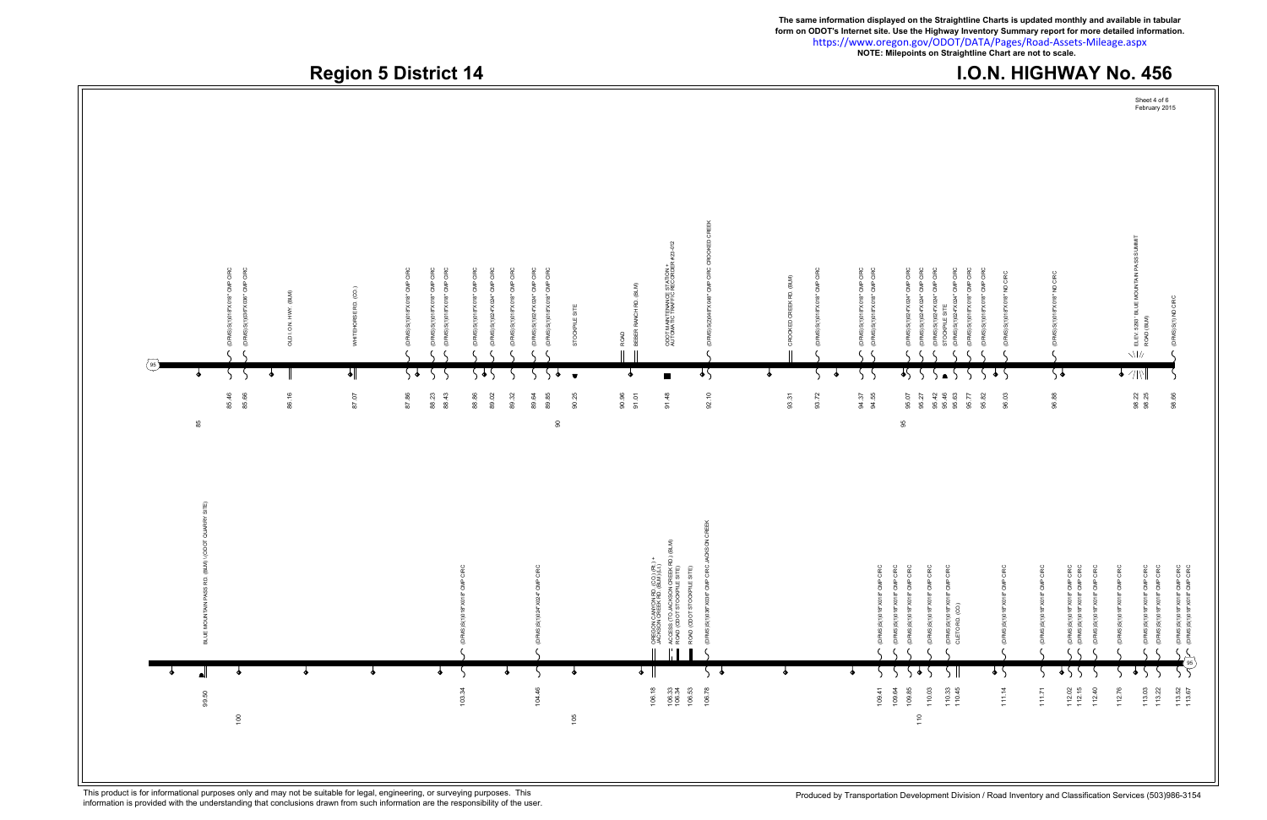

**The same information displayed on the Straightline Charts is updated monthly and available in tabular**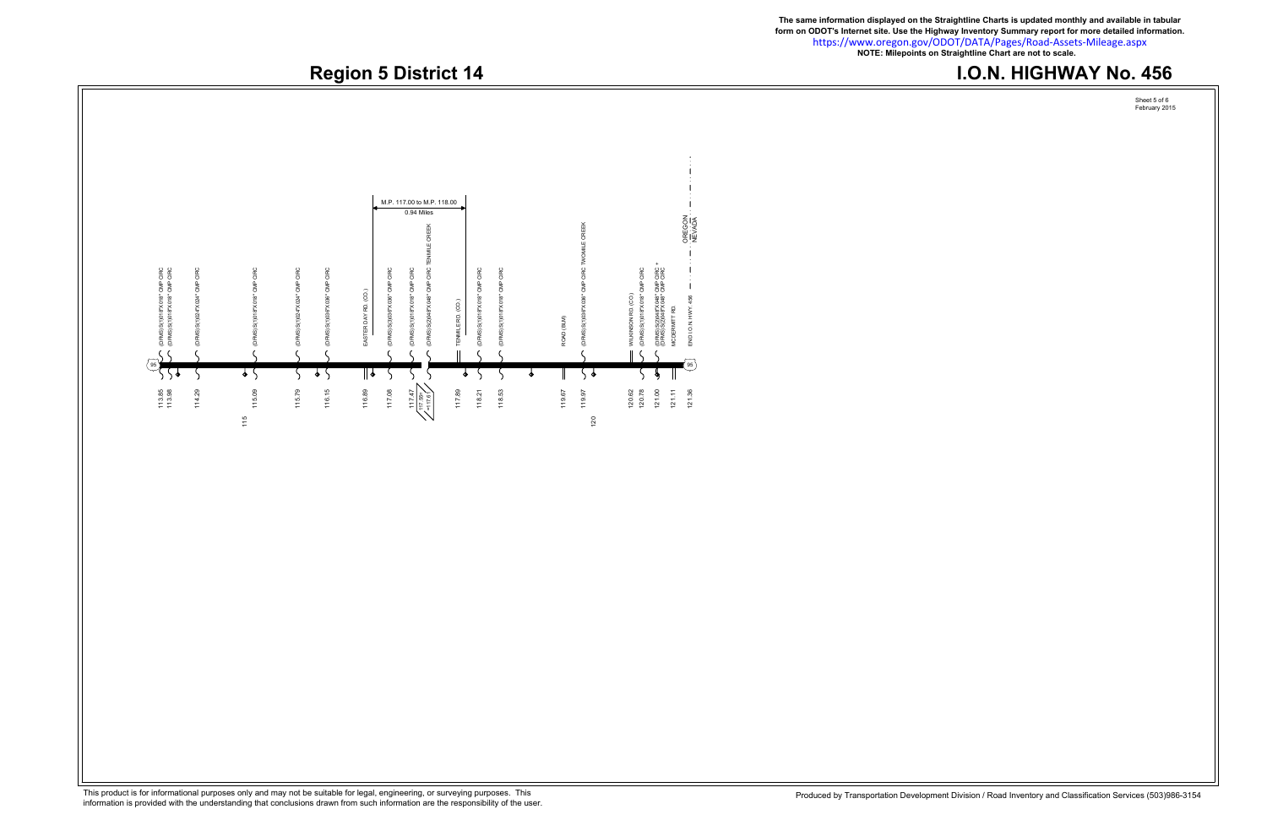**The same information displayed on the Straightline Charts is updated monthly and available in tabular** https://www.oregon.gov/ODOT/DATA/Pages/Road-Assets-Mileage.aspx **form on ODOT's Internet site. Use the Highway Inventory Summary report for more detailed information. NOTE: Milepoints on Straightline Chart are not to scale.**

# Region 5 District 14 **I.O.N. HIGHWAY No. 456**



This product is for informational purposes only and may not be suitable for legal, engineering, or surveying purposes. This responsibility of the user. This responsibility of the user.<br>information is provided with the unde

Sheet 5 of 6 February 2015